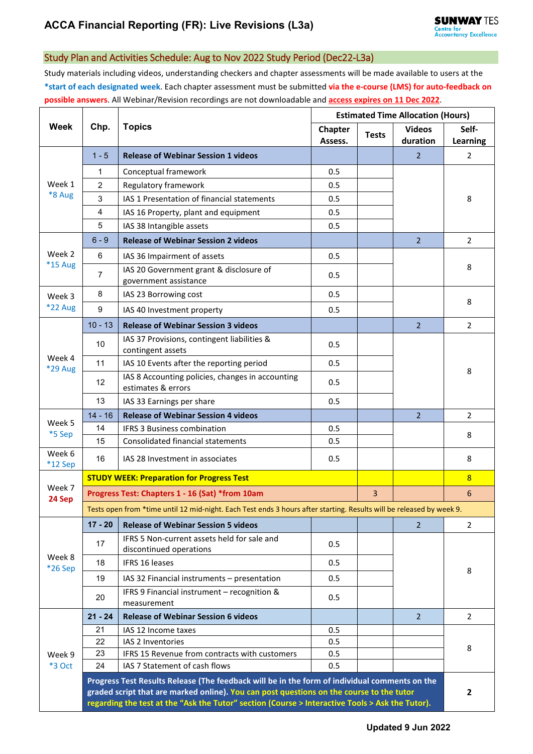## Study Plan and Activities Schedule: Aug to Nov 2022 Study Period (Dec22-L3a)

Study materials including videos, understanding checkers and chapter assessments will be made available to users at the **\*start of each designated week**. Each chapter assessment must be submitted **via the e-course (LMS) for auto-feedback on possible answers**. All Webinar/Revision recordings are not downloadable and **access expires on 11 Dec 2022**.

| Week                     | Chp.                                                                                                                                                                                                                                                                                         | <b>Topics</b>                                                          | <b>Estimated Time Allocation (Hours)</b> |                |                           |                   |  |
|--------------------------|----------------------------------------------------------------------------------------------------------------------------------------------------------------------------------------------------------------------------------------------------------------------------------------------|------------------------------------------------------------------------|------------------------------------------|----------------|---------------------------|-------------------|--|
|                          |                                                                                                                                                                                                                                                                                              |                                                                        | Chapter<br>Assess.                       | <b>Tests</b>   | <b>Videos</b><br>duration | Self-<br>Learning |  |
|                          | $1 - 5$                                                                                                                                                                                                                                                                                      | <b>Release of Webinar Session 1 videos</b>                             |                                          |                | $\overline{2}$            | $\overline{2}$    |  |
|                          | 1                                                                                                                                                                                                                                                                                            | Conceptual framework                                                   | 0.5                                      |                |                           |                   |  |
| Week 1<br>*8 Aug         | $\overline{2}$                                                                                                                                                                                                                                                                               | Regulatory framework                                                   | 0.5                                      |                |                           | 8                 |  |
|                          | 3                                                                                                                                                                                                                                                                                            | IAS 1 Presentation of financial statements                             | 0.5                                      |                |                           |                   |  |
|                          | 4                                                                                                                                                                                                                                                                                            | IAS 16 Property, plant and equipment                                   | 0.5                                      |                |                           |                   |  |
|                          | 5                                                                                                                                                                                                                                                                                            | IAS 38 Intangible assets                                               | 0.5                                      |                |                           |                   |  |
| Week 2<br>*15 Aug        | $6 - 9$                                                                                                                                                                                                                                                                                      | <b>Release of Webinar Session 2 videos</b>                             |                                          |                | $\overline{2}$            | $\overline{2}$    |  |
|                          | 6                                                                                                                                                                                                                                                                                            | IAS 36 Impairment of assets                                            | 0.5                                      |                |                           | 8                 |  |
|                          | 7                                                                                                                                                                                                                                                                                            | IAS 20 Government grant & disclosure of<br>government assistance       | 0.5                                      |                |                           |                   |  |
| Week 3<br><b>*22 Aug</b> | 8                                                                                                                                                                                                                                                                                            | IAS 23 Borrowing cost                                                  | 0.5                                      |                |                           | 8                 |  |
|                          | 9                                                                                                                                                                                                                                                                                            | IAS 40 Investment property                                             | 0.5                                      |                |                           |                   |  |
|                          | $10 - 13$                                                                                                                                                                                                                                                                                    | <b>Release of Webinar Session 3 videos</b>                             |                                          |                | $\overline{2}$            | $\overline{2}$    |  |
|                          | 10                                                                                                                                                                                                                                                                                           | IAS 37 Provisions, contingent liabilities &<br>contingent assets       | 0.5                                      |                |                           | 8                 |  |
| Week 4                   | 11                                                                                                                                                                                                                                                                                           | IAS 10 Events after the reporting period                               | 0.5                                      |                |                           |                   |  |
| *29 Aug                  | 12                                                                                                                                                                                                                                                                                           | IAS 8 Accounting policies, changes in accounting<br>estimates & errors | 0.5                                      |                |                           |                   |  |
|                          | 13                                                                                                                                                                                                                                                                                           | IAS 33 Earnings per share                                              | 0.5                                      |                |                           |                   |  |
|                          | $14 - 16$                                                                                                                                                                                                                                                                                    | <b>Release of Webinar Session 4 videos</b>                             |                                          |                | $\overline{2}$            | $\overline{2}$    |  |
| Week 5                   | 14                                                                                                                                                                                                                                                                                           | <b>IFRS 3 Business combination</b>                                     | 0.5                                      |                |                           |                   |  |
| *5 Sep                   | 15                                                                                                                                                                                                                                                                                           | <b>Consolidated financial statements</b>                               | 0.5                                      |                |                           | 8                 |  |
| Week 6<br>*12 Sep        | 16                                                                                                                                                                                                                                                                                           | IAS 28 Investment in associates                                        | 0.5                                      |                |                           | 8                 |  |
|                          | <b>STUDY WEEK: Preparation for Progress Test</b>                                                                                                                                                                                                                                             |                                                                        |                                          |                |                           |                   |  |
| Week 7<br>24 Sep         |                                                                                                                                                                                                                                                                                              | Progress Test: Chapters 1 - 16 (Sat) *from 10am                        |                                          | $\overline{3}$ |                           | 6                 |  |
|                          | Tests open from *time until 12 mid-night. Each Test ends 3 hours after starting. Results will be released by week 9.                                                                                                                                                                         |                                                                        |                                          |                |                           |                   |  |
|                          | $17 - 20$                                                                                                                                                                                                                                                                                    | <b>Release of Webinar Session 5 videos</b>                             |                                          |                | $\overline{2}$            | $\overline{2}$    |  |
| Week 8<br>*26 Sep        | 17                                                                                                                                                                                                                                                                                           | IFRS 5 Non-current assets held for sale and<br>discontinued operations | 0.5                                      |                |                           |                   |  |
|                          | 18                                                                                                                                                                                                                                                                                           | IFRS 16 leases                                                         | 0.5                                      |                |                           |                   |  |
|                          | 19                                                                                                                                                                                                                                                                                           | IAS 32 Financial instruments - presentation                            | 0.5                                      |                |                           | 8                 |  |
|                          | 20                                                                                                                                                                                                                                                                                           | IFRS 9 Financial instrument - recognition &<br>measurement             | 0.5                                      |                |                           |                   |  |
| Week 9<br><b>*3 Oct</b>  | $21 - 24$                                                                                                                                                                                                                                                                                    | <b>Release of Webinar Session 6 videos</b>                             |                                          |                | $\overline{2}$            | $\overline{2}$    |  |
|                          | 21                                                                                                                                                                                                                                                                                           | IAS 12 Income taxes                                                    | 0.5                                      |                |                           |                   |  |
|                          | 22                                                                                                                                                                                                                                                                                           | IAS 2 Inventories                                                      | 0.5                                      |                |                           | 8                 |  |
|                          | 23                                                                                                                                                                                                                                                                                           | IFRS 15 Revenue from contracts with customers                          | 0.5                                      |                |                           |                   |  |
|                          | 24                                                                                                                                                                                                                                                                                           | IAS 7 Statement of cash flows                                          | 0.5                                      |                |                           |                   |  |
|                          | Progress Test Results Release (The feedback will be in the form of individual comments on the<br>graded script that are marked online). You can post questions on the course to the tutor<br>regarding the test at the "Ask the Tutor" section (Course > Interactive Tools > Ask the Tutor). |                                                                        |                                          |                |                           |                   |  |